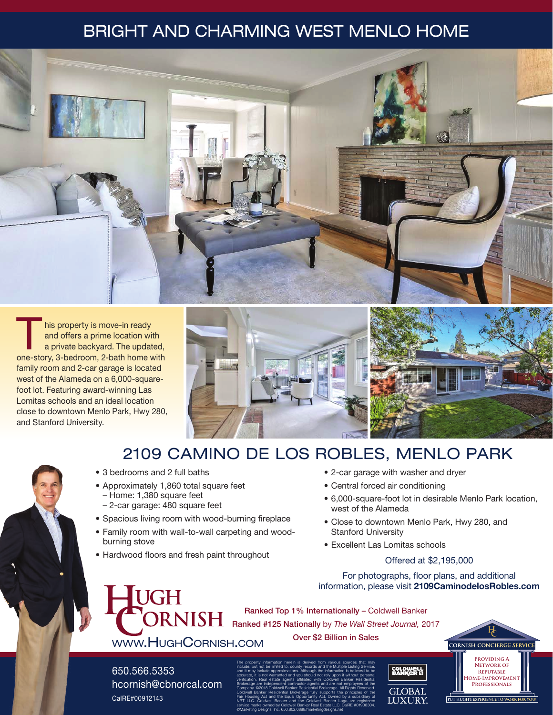# BRIGHT AND CHARMING WEST MENLO HOME



his property is move-in ready<br>
and offers a prime location with<br>
a private backyard. The updated,<br>
and start 3 hodrogram 3 bath home with and offers a prime location with one-story, 3-bedroom, 2-bath home with family room and 2-car garage is located west of the Alameda on a 6,000-squarefoot lot. Featuring award-winning Las Lomitas schools and an ideal location close to downtown Menlo Park, Hwy 280, and Stanford University.



# 2109 CAMINO DE LOS ROBLES, MENLO PARK

- 3 bedrooms and 2 full baths
- Approximately 1,860 total square feet
	- Home: 1,380 square feet – 2-car garage: 480 square feet
- Spacious living room with wood-burning fireplace
- Family room with wall-to-wall carpeting and woodburning stove
- Hardwood floors and fresh paint throughout
- 2-car garage with washer and dryer
- Central forced air conditioning
- 6,000-square-foot lot in desirable Menlo Park location, west of the Alameda
- Close to downtown Menlo Park, Hwy 280, and Stanford University
- Excellent Las Lomitas schools

#### Offered at \$2,195,000

For photographs, floor plans, and additional information, please visit 2109CaminodelosRobles.com

**UGH** www.HughCornish.com

Ranked Top 1% Internationally – Coldwell Banker **RNISH** Ranked #125 Nationally by *The Wall Street Journal,* 2017 Over \$2 Billion in Sales

650.566.5353 hcornish@cbnorcal.com CalRE#00912143

The property information herein is derived from various sources that may include, but not be limited to, county records and the Multiple Listing Service, and it may include approximations. Although the information is believed to be accurate, it is not warranted and you should not rely upon it without personal verification. Real estate agents affiliated with Coldwell Banker Residential Brokerage are independent contractor agents and are not employees of the Company. ©2018 Coldwell Banker Residential Brokerage. All Rights Reserved. Coldwell Banker Residential Brokerage fully supports the principles of the Fair Housing Act and the Equal Opportunity Act. Owned by a subsidiary of NRT LLC. Coldwell Banker and the Coldwell Banker Logo are registered service marks owned by Coldwell Banker Real Estate LLC. CalRE #01908304. ©Marketing Designs, Inc. 650.802.0888/marketingdesigns.net



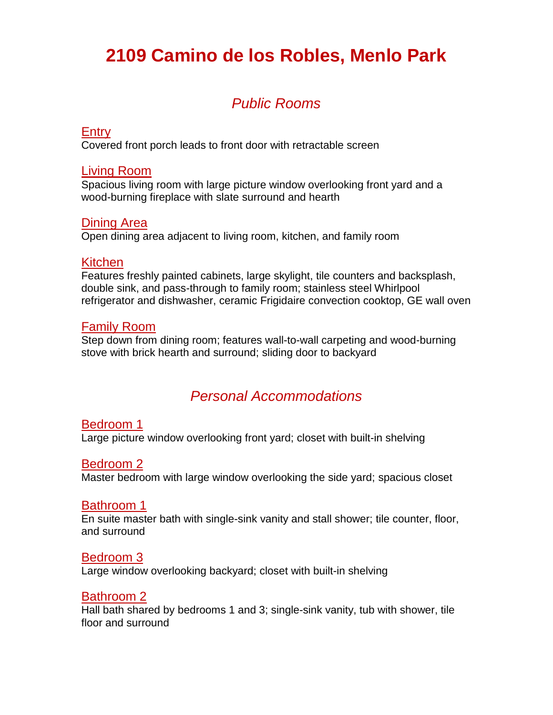# **2109 Camino de los Robles, Menlo Park**

## *Public Rooms*

#### Entry

Covered front porch leads to front door with retractable screen

### Living Room

Spacious living room with large picture window overlooking front yard and a wood-burning fireplace with slate surround and hearth

### Dining Area

Open dining area adjacent to living room, kitchen, and family room

### Kitchen

Features freshly painted cabinets, large skylight, tile counters and backsplash, double sink, and pass-through to family room; stainless steel Whirlpool refrigerator and dishwasher, ceramic Frigidaire convection cooktop, GE wall oven

### Family Room

Step down from dining room; features wall-to-wall carpeting and wood-burning stove with brick hearth and surround; sliding door to backyard

### *Personal Accommodations*

### Bedroom 1

Large picture window overlooking front yard; closet with built-in shelving

### Bedroom 2

Master bedroom with large window overlooking the side yard; spacious closet

### Bathroom 1

En suite master bath with single-sink vanity and stall shower; tile counter, floor, and surround

### Bedroom 3

Large window overlooking backyard; closet with built-in shelving

### Bathroom 2

Hall bath shared by bedrooms 1 and 3; single-sink vanity, tub with shower, tile floor and surround